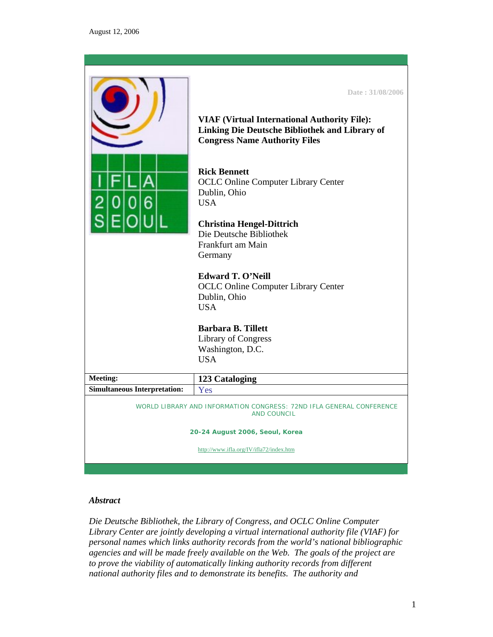|                                                                                                                               | Date: 31/08/2006<br><b>VIAF (Virtual International Authority File):</b><br>Linking Die Deutsche Bibliothek and Library of<br><b>Congress Name Authority Files</b><br><b>Rick Bennett</b><br><b>OCLC Online Computer Library Center</b><br>Dublin, Ohio<br><b>USA</b><br><b>Christina Hengel-Dittrich</b><br>Die Deutsche Bibliothek<br>Frankfurt am Main<br>Germany<br><b>Edward T. O'Neill</b><br><b>OCLC Online Computer Library Center</b><br>Dublin, Ohio<br><b>USA</b><br><b>Barbara B. Tillett</b><br><b>Library of Congress</b> |  |
|-------------------------------------------------------------------------------------------------------------------------------|----------------------------------------------------------------------------------------------------------------------------------------------------------------------------------------------------------------------------------------------------------------------------------------------------------------------------------------------------------------------------------------------------------------------------------------------------------------------------------------------------------------------------------------|--|
|                                                                                                                               | Washington, D.C.<br><b>USA</b>                                                                                                                                                                                                                                                                                                                                                                                                                                                                                                         |  |
| <b>Meeting:</b>                                                                                                               | 123 Cataloging                                                                                                                                                                                                                                                                                                                                                                                                                                                                                                                         |  |
| <b>Simultaneous Interpretation:</b>                                                                                           | Yes                                                                                                                                                                                                                                                                                                                                                                                                                                                                                                                                    |  |
| WORLD LIBRARY AND INFORMATION CONGRESS: 72ND IFLA GENERAL CONFERENCE<br><b>AND COUNCIL</b><br>20-24 August 2006, Seoul, Korea |                                                                                                                                                                                                                                                                                                                                                                                                                                                                                                                                        |  |
| http://www.ifla.org/IV/ifla72/index.htm                                                                                       |                                                                                                                                                                                                                                                                                                                                                                                                                                                                                                                                        |  |

## *Abstract*

*Die Deutsche Bibliothek, the Library of Congress, and OCLC Online Computer Library Center are jointly developing a virtual international authority file (VIAF) for personal names which links authority records from the world's national bibliographic agencies and will be made freely available on the Web. The goals of the project are to prove the viability of automatically linking authority records from different national authority files and to demonstrate its benefits. The authority and*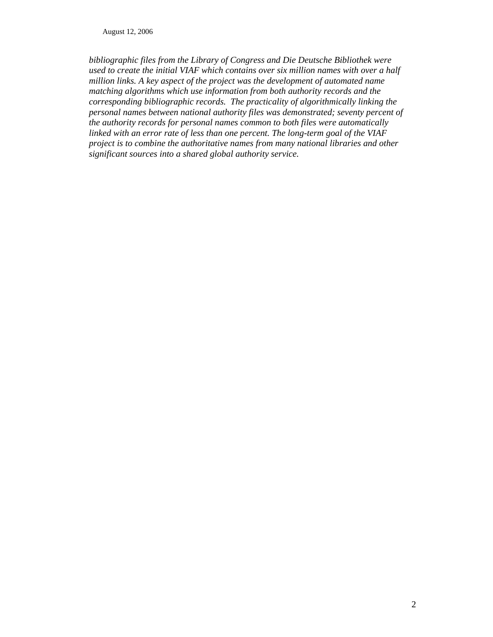*bibliographic files from the Library of Congress and Die Deutsche Bibliothek were used to create the initial VIAF which contains over six million names with over a half million links. A key aspect of the project was the development of automated name matching algorithms which use information from both authority records and the corresponding bibliographic records. The practicality of algorithmically linking the personal names between national authority files was demonstrated; seventy percent of the authority records for personal names common to both files were automatically linked with an error rate of less than one percent. The long-term goal of the VIAF project is to combine the authoritative names from many national libraries and other significant sources into a shared global authority service.*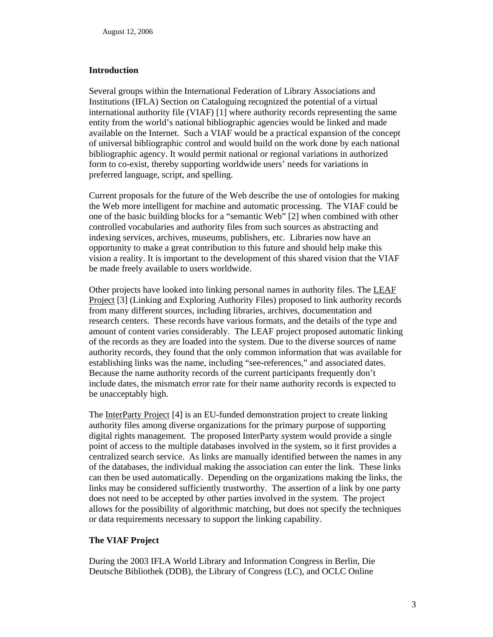#### **Introduction**

Several groups within the International Federation of Library Associations and Institutions (IFLA) Section on Cataloguing recognized the potential of a virtual international authority file (VIAF) [1] where authority records representing the same entity from the world's national bibliographic agencies would be linked and made available on the Internet. Such a VIAF would be a practical expansion of the concept of universal bibliographic control and would build on the work done by each national bibliographic agency. It would permit national or regional variations in authorized form to co-exist, thereby supporting worldwide users' needs for variations in preferred language, script, and spelling.

Current proposals for the future of the Web describe the use of ontologies for making the Web more intelligent for machine and automatic processing. The VIAF could be one of the basic building blocks for a "semantic Web" [2] when combined with other controlled vocabularies and authority files from such sources as abstracting and indexing services, archives, museums, publishers, etc. Libraries now have an opportunity to make a great contribution to this future and should help make this vision a reality. It is important to the development of this shared vision that the VIAF be made freely available to users worldwide.

Other projects have looked into linking personal names in authority files. The LEAF Project [3] (Linking and Exploring Authority Files) proposed to link authority records from many different sources, including libraries, archives, documentation and research centers. These records have various formats, and the details of the type and amount of content varies considerably. The LEAF project proposed automatic linking of the records as they are loaded into the system. Due to the diverse sources of name authority records, they found that the only common information that was available for establishing links was the name, including "see-references," and associated dates. Because the name authority records of the current participants frequently don't include dates, the mismatch error rate for their name authority records is expected to be unacceptably high.

The InterParty Project [4] is an EU-funded demonstration project to create linking authority files among diverse organizations for the primary purpose of supporting digital rights management. The proposed InterParty system would provide a single point of access to the multiple databases involved in the system, so it first provides a centralized search service. As links are manually identified between the names in any of the databases, the individual making the association can enter the link. These links can then be used automatically. Depending on the organizations making the links, the links may be considered sufficiently trustworthy. The assertion of a link by one party does not need to be accepted by other parties involved in the system. The project allows for the possibility of algorithmic matching, but does not specify the techniques or data requirements necessary to support the linking capability.

## **The VIAF Project**

During the 2003 IFLA World Library and Information Congress in Berlin, Die Deutsche Bibliothek (DDB), the Library of Congress (LC), and OCLC Online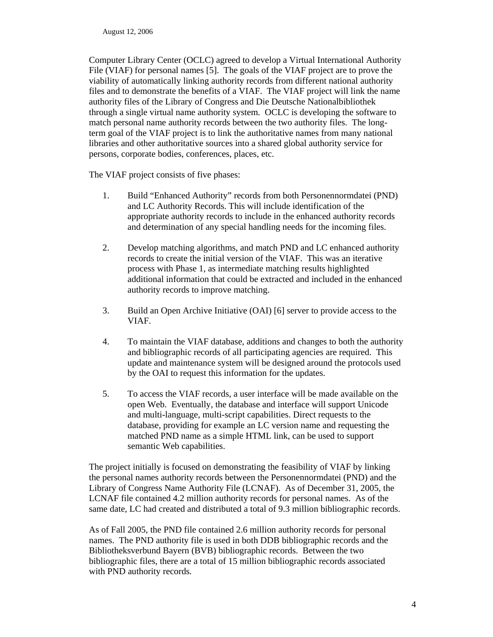Computer Library Center (OCLC) agreed to develop a Virtual International Authority File (VIAF) for personal names [5]. The goals of the VIAF project are to prove the viability of automatically linking authority records from different national authority files and to demonstrate the benefits of a VIAF. The VIAF project will link the name authority files of the Library of Congress and Die Deutsche Nationalbibliothek through a single virtual name authority system. OCLC is developing the software to match personal name authority records between the two authority files. The longterm goal of the VIAF project is to link the authoritative names from many national libraries and other authoritative sources into a shared global authority service for persons, corporate bodies, conferences, places, etc.

The VIAF project consists of five phases:

- 1. Build "Enhanced Authority" records from both Personennormdatei (PND) and LC Authority Records. This will include identification of the appropriate authority records to include in the enhanced authority records and determination of any special handling needs for the incoming files.
- 2. Develop matching algorithms, and match PND and LC enhanced authority records to create the initial version of the VIAF. This was an iterative process with Phase 1, as intermediate matching results highlighted additional information that could be extracted and included in the enhanced authority records to improve matching.
- 3. Build an Open Archive Initiative (OAI) [6] server to provide access to the VIAF.
- 4. To maintain the VIAF database, additions and changes to both the authority and bibliographic records of all participating agencies are required. This update and maintenance system will be designed around the protocols used by the OAI to request this information for the updates.
- 5. To access the VIAF records, a user interface will be made available on the open Web. Eventually, the database and interface will support Unicode and multi-language, multi-script capabilities. Direct requests to the database, providing for example an LC version name and requesting the matched PND name as a simple HTML link, can be used to support semantic Web capabilities.

The project initially is focused on demonstrating the feasibility of VIAF by linking the personal names authority records between the Personennormdatei (PND) and the Library of Congress Name Authority File (LCNAF). As of December 31, 2005, the LCNAF file contained 4.2 million authority records for personal names. As of the same date, LC had created and distributed a total of 9.3 million bibliographic records.

As of Fall 2005, the PND file contained 2.6 million authority records for personal names. The PND authority file is used in both DDB bibliographic records and the Bibliotheksverbund Bayern (BVB) bibliographic records. Between the two bibliographic files, there are a total of 15 million bibliographic records associated with PND authority records*.*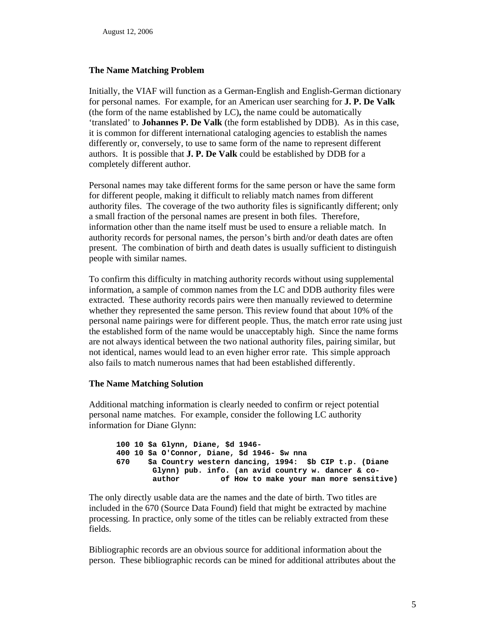### **The Name Matching Problem**

Initially, the VIAF will function as a German-English and English-German dictionary for personal names. For example, for an American user searching for **J. P. De Valk**  (the form of the name established by LC)**,** the name could be automatically 'translated' to **Johannes P. De Valk** (the form established by DDB). As in this case, it is common for different international cataloging agencies to establish the names differently or, conversely, to use to same form of the name to represent different authors. It is possible that **J. P. De Valk** could be established by DDB for a completely different author.

Personal names may take different forms for the same person or have the same form for different people, making it difficult to reliably match names from different authority files. The coverage of the two authority files is significantly different; only a small fraction of the personal names are present in both files. Therefore, information other than the name itself must be used to ensure a reliable match. In authority records for personal names, the person's birth and/or death dates are often present. The combination of birth and death dates is usually sufficient to distinguish people with similar names.

To confirm this difficulty in matching authority records without using supplemental information, a sample of common names from the LC and DDB authority files were extracted. These authority records pairs were then manually reviewed to determine whether they represented the same person. This review found that about 10% of the personal name pairings were for different people. Thus, the match error rate using just the established form of the name would be unacceptably high. Since the name forms are not always identical between the two national authority files, pairing similar, but not identical, names would lead to an even higher error rate. This simple approach also fails to match numerous names that had been established differently.

#### **The Name Matching Solution**

Additional matching information is clearly needed to confirm or reject potential personal name matches. For example, consider the following LC authority information for Diane Glynn:

```
100 10 $a Glynn, Diane, $d 1946- 
400 10 $a O'Connor, Diane, $d 1946- $w nna 
670 $a Country western dancing, 1994: $b CIP t.p. (Diane 
       Glynn) pub. info. (an avid country w. dancer & co-
       author of How to make your man more sensitive)
```
The only directly usable data are the names and the date of birth. Two titles are included in the 670 (Source Data Found) field that might be extracted by machine processing. In practice, only some of the titles can be reliably extracted from these fields.

Bibliographic records are an obvious source for additional information about the person. These bibliographic records can be mined for additional attributes about the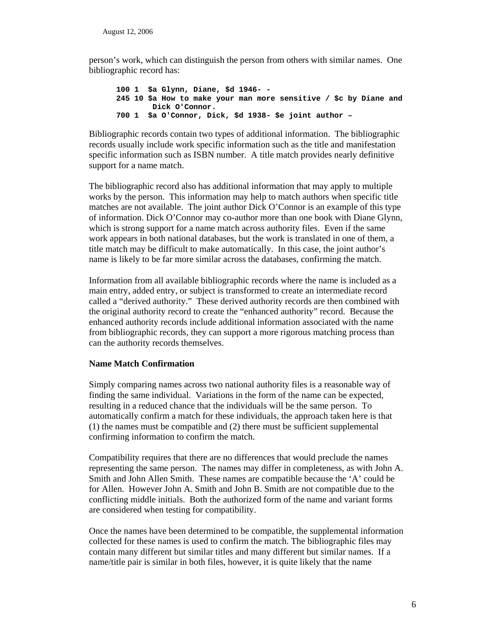person's work, which can distinguish the person from others with similar names. One bibliographic record has:

**100 1 \$a Glynn, Diane, \$d 1946- - 245 10 \$a How to make your man more sensitive / \$c by Diane and Dick O'Connor. 700 1 \$a O'Connor, Dick, \$d 1938- \$e joint author –** 

Bibliographic records contain two types of additional information. The bibliographic records usually include work specific information such as the title and manifestation specific information such as ISBN number. A title match provides nearly definitive support for a name match.

The bibliographic record also has additional information that may apply to multiple works by the person. This information may help to match authors when specific title matches are not available. The joint author Dick O'Connor is an example of this type of information. Dick O'Connor may co-author more than one book with Diane Glynn, which is strong support for a name match across authority files. Even if the same work appears in both national databases, but the work is translated in one of them, a title match may be difficult to make automatically. In this case, the joint author's name is likely to be far more similar across the databases, confirming the match.

Information from all available bibliographic records where the name is included as a main entry, added entry, or subject is transformed to create an intermediate record called a "derived authority." These derived authority records are then combined with the original authority record to create the "enhanced authority" record. Because the enhanced authority records include additional information associated with the name from bibliographic records, they can support a more rigorous matching process than can the authority records themselves.

## **Name Match Confirmation**

Simply comparing names across two national authority files is a reasonable way of finding the same individual. Variations in the form of the name can be expected, resulting in a reduced chance that the individuals will be the same person. To automatically confirm a match for these individuals, the approach taken here is that (1) the names must be compatible and (2) there must be sufficient supplemental confirming information to confirm the match.

Compatibility requires that there are no differences that would preclude the names representing the same person. The names may differ in completeness, as with John A. Smith and John Allen Smith. These names are compatible because the 'A' could be for Allen. However John A. Smith and John B. Smith are not compatible due to the conflicting middle initials. Both the authorized form of the name and variant forms are considered when testing for compatibility.

Once the names have been determined to be compatible, the supplemental information collected for these names is used to confirm the match. The bibliographic files may contain many different but similar titles and many different but similar names. If a name/title pair is similar in both files, however, it is quite likely that the name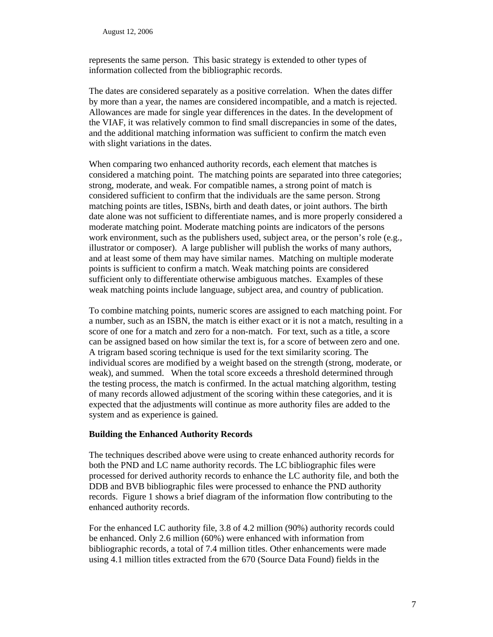represents the same person. This basic strategy is extended to other types of information collected from the bibliographic records.

The dates are considered separately as a positive correlation. When the dates differ by more than a year, the names are considered incompatible, and a match is rejected. Allowances are made for single year differences in the dates. In the development of the VIAF, it was relatively common to find small discrepancies in some of the dates, and the additional matching information was sufficient to confirm the match even with slight variations in the dates.

When comparing two enhanced authority records, each element that matches is considered a matching point. The matching points are separated into three categories; strong, moderate, and weak. For compatible names, a strong point of match is considered sufficient to confirm that the individuals are the same person. Strong matching points are titles, ISBNs, birth and death dates, or joint authors. The birth date alone was not sufficient to differentiate names, and is more properly considered a moderate matching point. Moderate matching points are indicators of the persons work environment, such as the publishers used, subject area, or the person's role (e.g., illustrator or composer). A large publisher will publish the works of many authors, and at least some of them may have similar names. Matching on multiple moderate points is sufficient to confirm a match. Weak matching points are considered sufficient only to differentiate otherwise ambiguous matches. Examples of these weak matching points include language, subject area, and country of publication.

To combine matching points, numeric scores are assigned to each matching point. For a number, such as an ISBN, the match is either exact or it is not a match, resulting in a score of one for a match and zero for a non-match. For text, such as a title, a score can be assigned based on how similar the text is, for a score of between zero and one. A trigram based scoring technique is used for the text similarity scoring. The individual scores are modified by a weight based on the strength (strong, moderate, or weak), and summed. When the total score exceeds a threshold determined through the testing process, the match is confirmed. In the actual matching algorithm, testing of many records allowed adjustment of the scoring within these categories, and it is expected that the adjustments will continue as more authority files are added to the system and as experience is gained.

## **Building the Enhanced Authority Records**

The techniques described above were using to create enhanced authority records for both the PND and LC name authority records. The LC bibliographic files were processed for derived authority records to enhance the LC authority file, and both the DDB and BVB bibliographic files were processed to enhance the PND authority records. Figure 1 shows a brief diagram of the information flow contributing to the enhanced authority records.

For the enhanced LC authority file, 3.8 of 4.2 million (90%) authority records could be enhanced. Only 2.6 million (60%) were enhanced with information from bibliographic records, a total of 7.4 million titles. Other enhancements were made using 4.1 million titles extracted from the 670 (Source Data Found) fields in the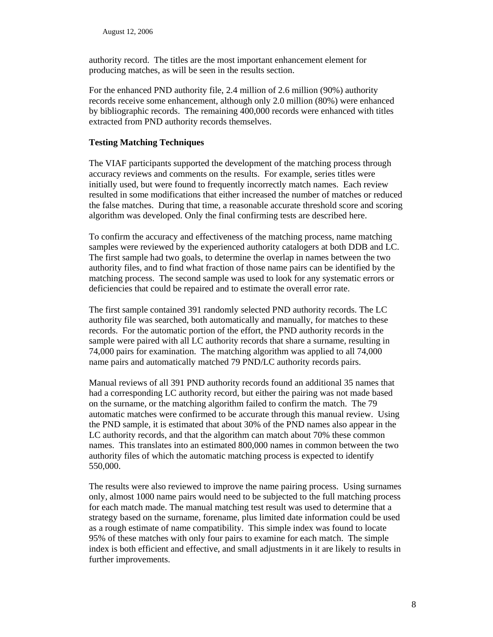authority record. The titles are the most important enhancement element for producing matches, as will be seen in the results section.

For the enhanced PND authority file, 2.4 million of 2.6 million (90%) authority records receive some enhancement, although only 2.0 million (80%) were enhanced by bibliographic records. The remaining 400,000 records were enhanced with titles extracted from PND authority records themselves.

### **Testing Matching Techniques**

The VIAF participants supported the development of the matching process through accuracy reviews and comments on the results. For example, series titles were initially used, but were found to frequently incorrectly match names. Each review resulted in some modifications that either increased the number of matches or reduced the false matches. During that time, a reasonable accurate threshold score and scoring algorithm was developed. Only the final confirming tests are described here.

To confirm the accuracy and effectiveness of the matching process, name matching samples were reviewed by the experienced authority catalogers at both DDB and LC. The first sample had two goals, to determine the overlap in names between the two authority files, and to find what fraction of those name pairs can be identified by the matching process. The second sample was used to look for any systematic errors or deficiencies that could be repaired and to estimate the overall error rate.

The first sample contained 391 randomly selected PND authority records. The LC authority file was searched, both automatically and manually, for matches to these records. For the automatic portion of the effort, the PND authority records in the sample were paired with all LC authority records that share a surname, resulting in 74,000 pairs for examination. The matching algorithm was applied to all 74,000 name pairs and automatically matched 79 PND/LC authority records pairs.

Manual reviews of all 391 PND authority records found an additional 35 names that had a corresponding LC authority record, but either the pairing was not made based on the surname, or the matching algorithm failed to confirm the match. The 79 automatic matches were confirmed to be accurate through this manual review. Using the PND sample, it is estimated that about 30% of the PND names also appear in the LC authority records, and that the algorithm can match about 70% these common names. This translates into an estimated 800,000 names in common between the two authority files of which the automatic matching process is expected to identify 550,000.

The results were also reviewed to improve the name pairing process. Using surnames only, almost 1000 name pairs would need to be subjected to the full matching process for each match made. The manual matching test result was used to determine that a strategy based on the surname, forename, plus limited date information could be used as a rough estimate of name compatibility. This simple index was found to locate 95% of these matches with only four pairs to examine for each match. The simple index is both efficient and effective, and small adjustments in it are likely to results in further improvements.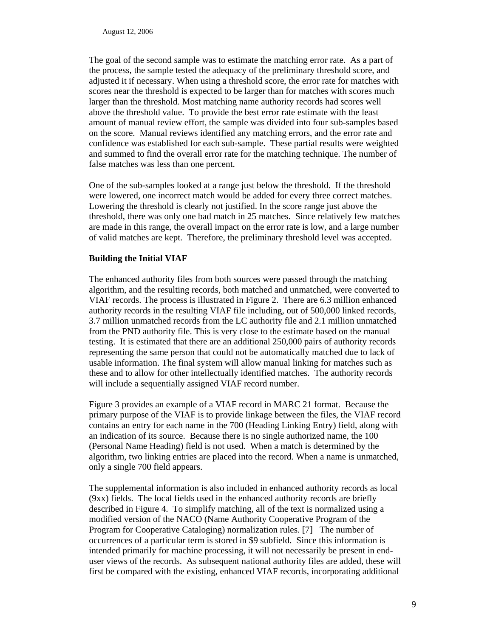The goal of the second sample was to estimate the matching error rate. As a part of the process, the sample tested the adequacy of the preliminary threshold score, and adjusted it if necessary. When using a threshold score, the error rate for matches with scores near the threshold is expected to be larger than for matches with scores much larger than the threshold. Most matching name authority records had scores well above the threshold value. To provide the best error rate estimate with the least amount of manual review effort, the sample was divided into four sub-samples based on the score. Manual reviews identified any matching errors, and the error rate and confidence was established for each sub-sample. These partial results were weighted and summed to find the overall error rate for the matching technique. The number of false matches was less than one percent.

One of the sub-samples looked at a range just below the threshold. If the threshold were lowered, one incorrect match would be added for every three correct matches. Lowering the threshold is clearly not justified. In the score range just above the threshold, there was only one bad match in 25 matches. Since relatively few matches are made in this range, the overall impact on the error rate is low, and a large number of valid matches are kept. Therefore, the preliminary threshold level was accepted.

#### **Building the Initial VIAF**

The enhanced authority files from both sources were passed through the matching algorithm, and the resulting records, both matched and unmatched, were converted to VIAF records. The process is illustrated in Figure 2. There are 6.3 million enhanced authority records in the resulting VIAF file including, out of 500,000 linked records, 3.7 million unmatched records from the LC authority file and 2.1 million unmatched from the PND authority file. This is very close to the estimate based on the manual testing. It is estimated that there are an additional 250,000 pairs of authority records representing the same person that could not be automatically matched due to lack of usable information. The final system will allow manual linking for matches such as these and to allow for other intellectually identified matches. The authority records will include a sequentially assigned VIAF record number.

Figure 3 provides an example of a VIAF record in MARC 21 format. Because the primary purpose of the VIAF is to provide linkage between the files, the VIAF record contains an entry for each name in the 700 (Heading Linking Entry) field, along with an indication of its source. Because there is no single authorized name, the 100 (Personal Name Heading) field is not used. When a match is determined by the algorithm, two linking entries are placed into the record. When a name is unmatched, only a single 700 field appears.

The supplemental information is also included in enhanced authority records as local (9xx) fields. The local fields used in the enhanced authority records are briefly described in Figure 4. To simplify matching, all of the text is normalized using a modified version of the NACO (Name Authority Cooperative Program of the Program for Cooperative Cataloging) normalization rules. [7] The number of occurrences of a particular term is stored in \$9 subfield. Since this information is intended primarily for machine processing, it will not necessarily be present in enduser views of the records. As subsequent national authority files are added, these will first be compared with the existing, enhanced VIAF records, incorporating additional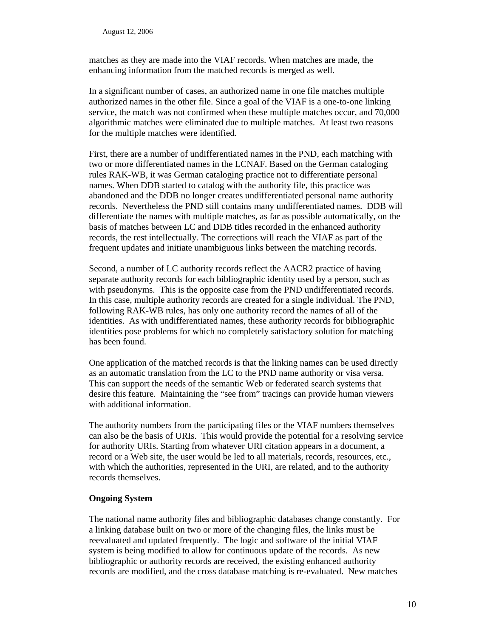matches as they are made into the VIAF records. When matches are made, the enhancing information from the matched records is merged as well.

In a significant number of cases, an authorized name in one file matches multiple authorized names in the other file. Since a goal of the VIAF is a one-to-one linking service, the match was not confirmed when these multiple matches occur, and 70,000 algorithmic matches were eliminated due to multiple matches. At least two reasons for the multiple matches were identified.

First, there are a number of undifferentiated names in the PND, each matching with two or more differentiated names in the LCNAF. Based on the German cataloging rules RAK-WB, it was German cataloging practice not to differentiate personal names. When DDB started to catalog with the authority file, this practice was abandoned and the DDB no longer creates undifferentiated personal name authority records. Nevertheless the PND still contains many undifferentiated names. DDB will differentiate the names with multiple matches, as far as possible automatically, on the basis of matches between LC and DDB titles recorded in the enhanced authority records, the rest intellectually. The corrections will reach the VIAF as part of the frequent updates and initiate unambiguous links between the matching records.

Second, a number of LC authority records reflect the AACR2 practice of having separate authority records for each bibliographic identity used by a person, such as with pseudonyms. This is the opposite case from the PND undifferentiated records. In this case, multiple authority records are created for a single individual. The PND, following RAK-WB rules, has only one authority record the names of all of the identities. As with undifferentiated names, these authority records for bibliographic identities pose problems for which no completely satisfactory solution for matching has been found.

One application of the matched records is that the linking names can be used directly as an automatic translation from the LC to the PND name authority or visa versa. This can support the needs of the semantic Web or federated search systems that desire this feature. Maintaining the "see from" tracings can provide human viewers with additional information.

The authority numbers from the participating files or the VIAF numbers themselves can also be the basis of URIs. This would provide the potential for a resolving service for authority URIs. Starting from whatever URI citation appears in a document, a record or a Web site, the user would be led to all materials, records, resources, etc., with which the authorities, represented in the URI, are related, and to the authority records themselves.

## **Ongoing System**

The national name authority files and bibliographic databases change constantly. For a linking database built on two or more of the changing files, the links must be reevaluated and updated frequently. The logic and software of the initial VIAF system is being modified to allow for continuous update of the records. As new bibliographic or authority records are received, the existing enhanced authority records are modified, and the cross database matching is re-evaluated. New matches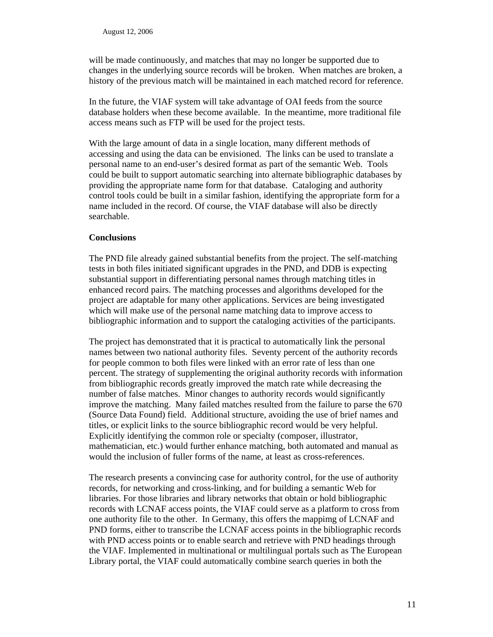will be made continuously, and matches that may no longer be supported due to changes in the underlying source records will be broken. When matches are broken, a history of the previous match will be maintained in each matched record for reference.

In the future, the VIAF system will take advantage of OAI feeds from the source database holders when these become available. In the meantime, more traditional file access means such as FTP will be used for the project tests.

With the large amount of data in a single location, many different methods of accessing and using the data can be envisioned. The links can be used to translate a personal name to an end-user's desired format as part of the semantic Web. Tools could be built to support automatic searching into alternate bibliographic databases by providing the appropriate name form for that database. Cataloging and authority control tools could be built in a similar fashion, identifying the appropriate form for a name included in the record. Of course, the VIAF database will also be directly searchable.

## **Conclusions**

The PND file already gained substantial benefits from the project. The self-matching tests in both files initiated significant upgrades in the PND, and DDB is expecting substantial support in differentiating personal names through matching titles in enhanced record pairs. The matching processes and algorithms developed for the project are adaptable for many other applications. Services are being investigated which will make use of the personal name matching data to improve access to bibliographic information and to support the cataloging activities of the participants.

The project has demonstrated that it is practical to automatically link the personal names between two national authority files. Seventy percent of the authority records for people common to both files were linked with an error rate of less than one percent. The strategy of supplementing the original authority records with information from bibliographic records greatly improved the match rate while decreasing the number of false matches. Minor changes to authority records would significantly improve the matching. Many failed matches resulted from the failure to parse the 670 (Source Data Found) field. Additional structure, avoiding the use of brief names and titles, or explicit links to the source bibliographic record would be very helpful. Explicitly identifying the common role or specialty (composer, illustrator, mathematician, etc.) would further enhance matching, both automated and manual as would the inclusion of fuller forms of the name, at least as cross-references.

The research presents a convincing case for authority control, for the use of authority records, for networking and cross-linking, and for building a semantic Web for libraries. For those libraries and library networks that obtain or hold bibliographic records with LCNAF access points, the VIAF could serve as a platform to cross from one authority file to the other. In Germany, this offers the mappimg of LCNAF and PND forms, either to transcribe the LCNAF access points in the bibliographic records with PND access points or to enable search and retrieve with PND headings through the VIAF. Implemented in multinational or multilingual portals such as The European Library portal, the VIAF could automatically combine search queries in both the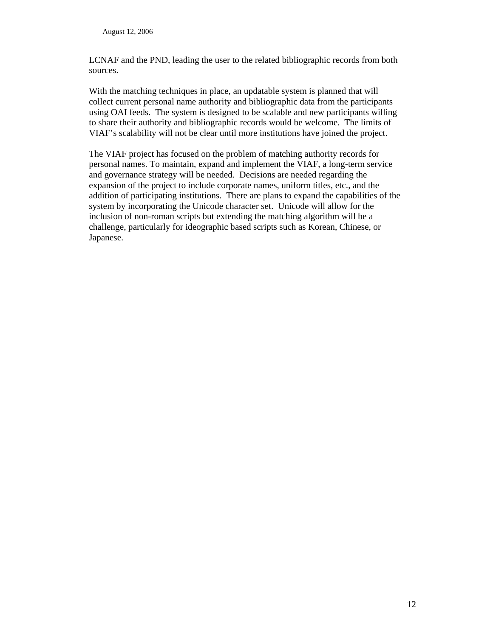LCNAF and the PND, leading the user to the related bibliographic records from both sources.

With the matching techniques in place, an updatable system is planned that will collect current personal name authority and bibliographic data from the participants using OAI feeds. The system is designed to be scalable and new participants willing to share their authority and bibliographic records would be welcome. The limits of VIAF's scalability will not be clear until more institutions have joined the project.

The VIAF project has focused on the problem of matching authority records for personal names. To maintain, expand and implement the VIAF, a long-term service and governance strategy will be needed. Decisions are needed regarding the expansion of the project to include corporate names, uniform titles, etc., and the addition of participating institutions. There are plans to expand the capabilities of the system by incorporating the Unicode character set. Unicode will allow for the inclusion of non-roman scripts but extending the matching algorithm will be a challenge, particularly for ideographic based scripts such as Korean, Chinese, or Japanese.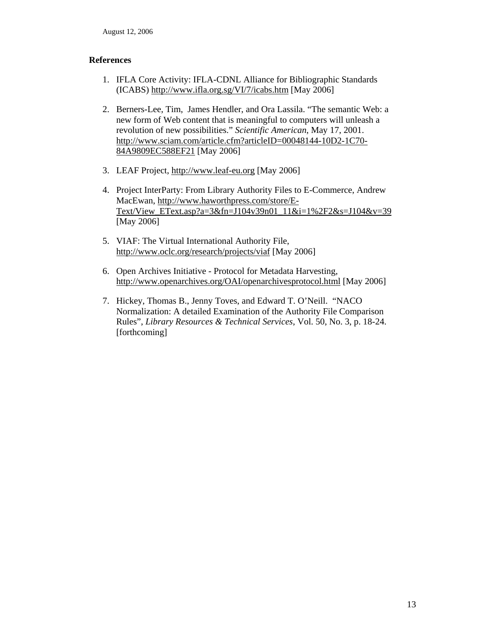## **References**

- 1. IFLA Core Activity: IFLA-CDNL Alliance for Bibliographic Standards (ICABS) [http://www.ifla.org.sg/VI/7/icabs.htm \[M](http://www.ifla.org.sg/VI/7/icabs.htm)ay 2006]
- 2. Berners-Lee, Tim, James Hendler, and Ora Lassila. "The semantic Web: a new form of Web content that is meaningful to computers will unleash a revolution of new possibilities." *Scientific American*, May 17, 2001. [http://www.sciam.com/article.cfm?articleID=00048144-10D2-1C70-](http://www.sciam.com/article.cfm?articleID=00048144-10D2-1C70-84A9809EC588EF21) [84A9809EC588EF21 \[M](http://www.sciam.com/article.cfm?articleID=00048144-10D2-1C70-84A9809EC588EF21)ay 2006]
- 3. LEAF Project, [http://www.leaf-eu.org \[M](http://www.leaf-eu.org)ay 2006]
- 4. Project InterParty: From Library Authority Files to E-Commerce, Andrew MacEwan, [http://www.haworthpress.com/store/E-](http://www.haworthpress.com/store/E-Text/View_EText.asp?a=3&fn=J104v39n01_11&i=1%2F2&s=J104&v=39)[Text/View\\_EText.asp?a=3&fn=J104v39n01\\_11&i=1%2F2&s=J104&v=39](http://www.haworthpress.com/store/E-Text/View_EText.asp?a=3&fn=J104v39n01_11&i=1%2F2&s=J104&v=39)  [May 2006]
- 5. VIAF: The Virtual International Authority File, [http://www.oclc.org/research/projects/viaf \[M](http://www.oclc.org/research/projects/viaf)ay 2006]
- 6. Open Archives Initiative Protocol for Metadata Harvesting, [http://www.openarchives.org/OAI/openarchivesprotocol.html \[M](http://www.openarchives.org/OAI/openarchivesprotocol.html)ay 2006]
- 7. Hickey, Thomas B., Jenny Toves, and Edward T. O'Neill. "NACO Normalization: A detailed Examination of the Authority File Comparison Rules", *Library Resources & Technical Services*, Vol. 50, No. 3, p. 18-24. [forthcoming]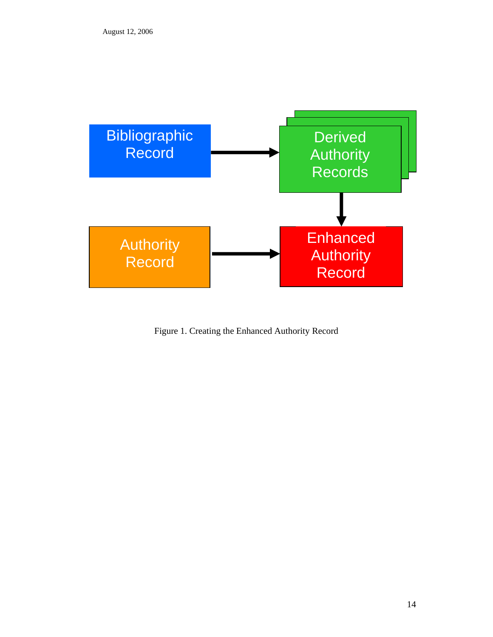

Figure 1. Creating the Enhanced Authority Record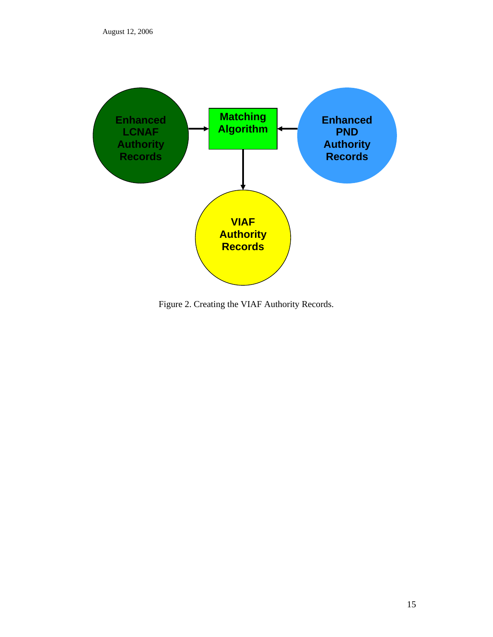

Figure 2. Creating the VIAF Authority Records.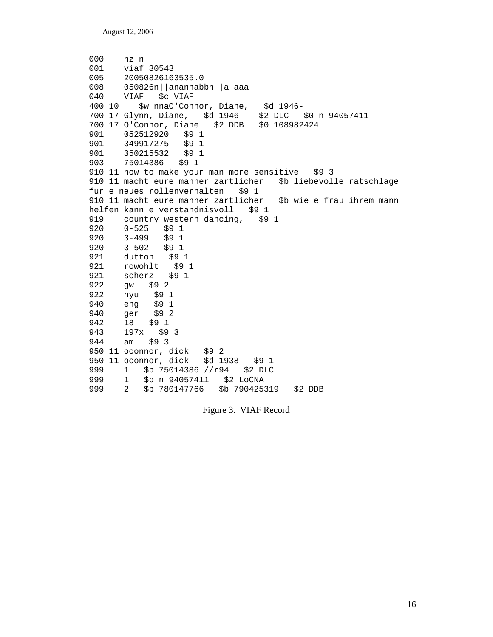```
000 nz n 
001 viaf 30543 
005 20050826163535.0 
008 050826n||anannabbn |a aaa 
      VIAF $c VIAF
400 10 $w nnaO'Connor, Diane, $d 1946- 
700 17 Glynn, Diane, $d 1946- $2 DLC $0 n 94057411 
700 17 O'Connor, Diane $2 DDB $0 108982424 
901 052512920 $9 1 
901 349917275 $9 1 
901 350215532 $9 1 
      903 75014386 $9 1 
910 11 how to make your man more sensitive $9 3
910 11 macht eure manner zartlicher $b liebevolle ratschlage 
fur e neues rollenverhalten $9 1 
910 11 macht eure manner zartlicher $b wie e frau ihrem mann 
helfen kann e verstandnisvoll $9 1
919 country western dancing, $9 1
920 0-525 $9 1 
     3 - 499920 3-502 $9 1 
921 dutton $9 1<br>921 rowohlt $9
      rowohlt $9 1
921 scherz $9 1 
922 gw $9 2 
922 nyu $9 1 
940 eng $9 1<br>940 ger $9 2
      ger $9 2
942 18 $9 1<br>943 197x $9
     197x $9 3
944 am $9 3 
950 11 oconnor, dick $9 2 
950 11 oconnor, dick $d 1938 $9 1 
999 1 $b 75014386 //r94 $2 DLC 
999 1 $b n 94057411 $2 LoCNA 
      2 $b 780147766 $b 790425319 $2 DDB
```
Figure 3. VIAF Record